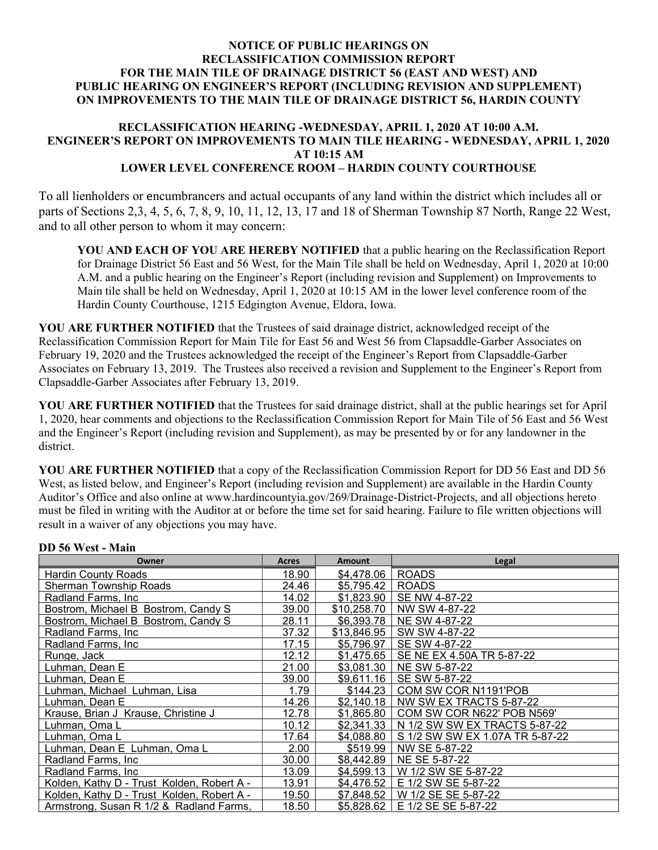### NOTICE OF PUBLIC HEARINGS ON RECLASSIFICATION COMMISSION REPORT FOR THE MAIN TILE OF DRAINAGE DISTRICT 56 (EAST AND WEST) AND PUBLIC HEARING ON ENGINEER'S REPORT (INCLUDING REVISION AND SUPPLEMENT) ON IMPROVEMENTS TO THE MAIN TILE OF DRAINAGE DISTRICT 56, HARDIN COUNTY

#### RECLASSIFICATION HEARING -WEDNESDAY, APRIL 1, 2020 AT 10:00 A.M. ENGINEER'S REPORT ON IMPROVEMENTS TO MAIN TILE HEARING - WEDNESDAY, APRIL 1, 2020 AT 10:15 AM LOWER LEVEL CONFERENCE ROOM – HARDIN COUNTY COURTHOUSE

To all lienholders or encumbrancers and actual occupants of any land within the district which includes all or parts of Sections 2,3, 4, 5, 6, 7, 8, 9, 10, 11, 12, 13, 17 and 18 of Sherman Township 87 North, Range 22 West, and to all other person to whom it may concern:

YOU AND EACH OF YOU ARE HEREBY NOTIFIED that a public hearing on the Reclassification Report for Drainage District 56 East and 56 West, for the Main Tile shall be held on Wednesday, April 1, 2020 at 10:00 A.M. and a public hearing on the Engineer's Report (including revision and Supplement) on Improvements to Main tile shall be held on Wednesday, April 1, 2020 at 10:15 AM in the lower level conference room of the Hardin County Courthouse, 1215 Edgington Avenue, Eldora, Iowa.

YOU ARE FURTHER NOTIFIED that the Trustees of said drainage district, acknowledged receipt of the Reclassification Commission Report for Main Tile for East 56 and West 56 from Clapsaddle-Garber Associates on February 19, 2020 and the Trustees acknowledged the receipt of the Engineer's Report from Clapsaddle-Garber Associates on February 13, 2019. The Trustees also received a revision and Supplement to the Engineer's Report from Clapsaddle-Garber Associates after February 13, 2019.

YOU ARE FURTHER NOTIFIED that the Trustees for said drainage district, shall at the public hearings set for April 1, 2020, hear comments and objections to the Reclassification Commission Report for Main Tile of 56 East and 56 West and the Engineer's Report (including revision and Supplement), as may be presented by or for any landowner in the district.

YOU ARE FURTHER NOTIFIED that a copy of the Reclassification Commission Report for DD 56 East and DD 56 West, as listed below, and Engineer's Report (including revision and Supplement) are available in the Hardin County Auditor's Office and also online at www.hardincountyia.gov/269/Drainage-District-Projects, and all objections hereto must be filed in writing with the Auditor at or before the time set for said hearing. Failure to file written objections will result in a waiver of any objections you may have.

| Owner                                      | <b>Acres</b> | Amount      | Legal                           |
|--------------------------------------------|--------------|-------------|---------------------------------|
| Hardin County Roads                        | 18.90        | \$4,478.06  | <b>ROADS</b>                    |
| Sherman Township Roads                     | 24.46        | \$5,795.42  | <b>ROADS</b>                    |
| Radland Farms, Inc.                        | 14.02        | \$1,823.90  | SE NW 4-87-22                   |
| Bostrom, Michael B Bostrom, Candy S        | 39.00        | \$10.258.70 | NW SW 4-87-22                   |
| Bostrom, Michael B Bostrom, Candy S        | 28.11        | \$6,393.78  | NE SW 4-87-22                   |
| Radland Farms, Inc.                        | 37.32        | \$13,846.95 | SW SW 4-87-22                   |
| Radland Farms, Inc.                        | 17.15        | \$5,796.97  | SE SW 4-87-22                   |
| Runge, Jack                                | 12.12        | \$1,475.65  | SE NE EX 4.50A TR 5-87-22       |
| Luhman, Dean E                             | 21.00        | \$3,081.30  | NE SW 5-87-22                   |
| Luhman. Dean E                             | 39.00        | \$9,611.16  | SE SW 5-87-22                   |
| Luhman, Michael Luhman, Lisa               | 1.79         | \$144.23    | COM SW COR N1191'POB            |
| Luhman, Dean E                             | 14.26        | \$2,140.18  | NW SW EX TRACTS 5-87-22         |
| Krause, Brian J Krause, Christine J        | 12.78        | \$1,865.80  | COM SW COR N622' POB N569'      |
| Luhman, Oma L                              | 10.12        | \$2,341.33  | N 1/2 SW SW EX TRACTS 5-87-22   |
| Luhman, Oma L                              | 17.64        | \$4,088.80  | S 1/2 SW SW EX 1.07A TR 5-87-22 |
| Luhman, Dean E Luhman, Oma L               | 2.00         | \$519.99    | NW SE 5-87-22                   |
| Radland Farms, Inc.                        | 30.00        | \$8,442.89  | NE SE 5-87-22                   |
| Radland Farms, Inc.                        | 13.09        | \$4,599.13  | W 1/2 SW SE 5-87-22             |
| Kolden, Kathy D - Trust Kolden, Robert A - | 13.91        | \$4.476.52  | E 1/2 SW SE 5-87-22             |
| Kolden, Kathy D - Trust Kolden, Robert A - | 19.50        | \$7,848.52  | W 1/2 SE SE 5-87-22             |
| Armstrong, Susan R 1/2 & Radland Farms,    | 18.50        | \$5,828.62  | E 1/2 SE SE 5-87-22             |

#### DD 56 West - Main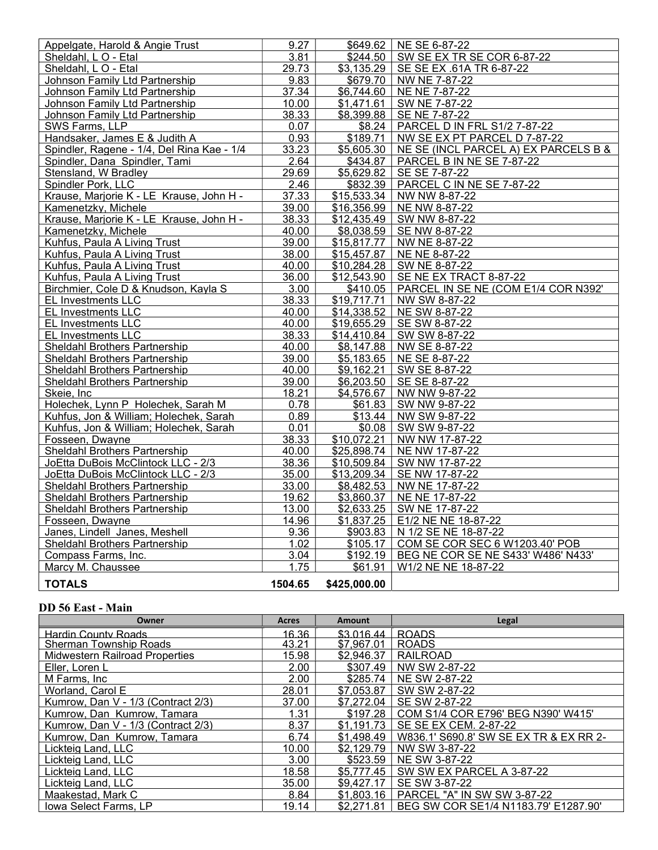| Appelgate, Harold & Angie Trust            | 9.27    | \$649.62               | NE SE 6-87-22                        |
|--------------------------------------------|---------|------------------------|--------------------------------------|
| Sheldahl, L O - Etal                       | 3.81    | \$244.50               | SW SE EX TR SE COR 6-87-22           |
| Sheldahl, LO - Etal                        | 29.73   | \$3,135.29             | SE SE EX .61A TR 6-87-22             |
| Johnson Family Ltd Partnership             | 9.83    | \$679.70               | NW NE 7-87-22                        |
| Johnson Family Ltd Partnership             | 37.34   | \$6,744.60             | NE NE 7-87-22                        |
| Johnson Family Ltd Partnership             | 10.00   | \$1,471.61             | SW NE 7-87-22                        |
| Johnson Family Ltd Partnership             | 38.33   | \$8,399.88             | SE NE 7-87-22                        |
| SWS Farms, LLP                             | 0.07    | \$8.24                 | PARCEL D IN FRL S1/2 7-87-22         |
| Handsaker, James E & Judith A              | 0.93    | $\overline{$}189.71$   | NW SE EX PT PARCEL D 7-87-22         |
| Spindler, Ragene - 1/4, Del Rina Kae - 1/4 | 33.23   | \$5,605.30             | NE SE (INCL PARCEL A) EX PARCELS B & |
| Spindler, Dana Spindler, Tami              | 2.64    | \$434.87               | PARCEL B IN NE SE 7-87-22            |
| Stensland, W Bradley                       | 29.69   | \$5,629.82             | SE SE 7-87-22                        |
| Spindler Pork, LLC                         | 2.46    | \$832.39               | PARCEL C IN NE SE 7-87-22            |
| Krause, Marjorie K - LE Krause, John H -   | 37.33   | \$15,533.34            | NW NW 8-87-22                        |
| Kamenetzky, Michele                        | 39.00   | \$16,356.99            | NE NW 8-87-22                        |
| Krause, Marjorie K - LE Krause, John H -   | 38.33   | \$12,435.49            | SW NW 8-87-22                        |
| Kamenetzky, Michele                        | 40.00   | \$8,038.59             | SE NW 8-87-22                        |
| Kuhfus, Paula A Living Trust               | 39.00   | \$15,817.77            | NW NE 8-87-22                        |
| Kuhfus, Paula A Living Trust               | 38.00   | \$15,457.87            | NE NE 8-87-22                        |
| Kuhfus, Paula A Living Trust               | 40.00   | \$10,284.28            | SW NE 8-87-22                        |
| Kuhfus, Paula A Living Trust               | 36.00   | \$12,543.90            | SE NE EX TRACT 8-87-22               |
| Birchmier, Cole D & Knudson, Kayla S       | 3.00    | \$410.05               | PARCEL IN SE NE (COM E1/4 COR N392'  |
| <b>EL Investments LLC</b>                  | 38.33   | \$19,717.71            | NW SW 8-87-22                        |
| <b>EL Investments LLC</b>                  | 40.00   | \$14,338.52            | NE SW 8-87-22                        |
| <b>EL Investments LLC</b>                  | 40.00   | \$19,655.29            | SE SW 8-87-22                        |
| <b>EL Investments LLC</b>                  | 38.33   | \$14,410.84            | SW SW 8-87-22                        |
| Sheldahl Brothers Partnership              | 40.00   | $\overline{$8,147.88}$ | NW SE 8-87-22                        |
| Sheldahl Brothers Partnership              | 39.00   | \$5,183.65             | NE SE 8-87-22                        |
| Sheldahl Brothers Partnership              | 40.00   | \$9,162.21             | SW SE 8-87-22                        |
| Sheldahl Brothers Partnership              | 39.00   | \$6,203.50             | SE SE 8-87-22                        |
| Skeie, Inc                                 | 18.21   | \$4,576.67             | NW NW 9-87-22                        |
| Holechek, Lynn P Holechek, Sarah M         | 0.78    | \$61.83                | SW NW 9-87-22                        |
| Kuhfus, Jon & William; Holechek, Sarah     | 0.89    | \$13.44                | NW SW 9-87-22                        |
| Kuhfus, Jon & William; Holechek, Sarah     | 0.01    | \$0.08                 | SW SW 9-87-22                        |
| Fosseen, Dwayne                            | 38.33   | \$10,072.21            | NW NW 17-87-22                       |
| <b>Sheldahl Brothers Partnership</b>       | 40.00   | \$25,898.74            | NE NW 17-87-22                       |
| JoEtta DuBois McClintock LLC - 2/3         | 38.36   | \$10,509.84            | SW NW 17-87-22                       |
| JoEtta DuBois McClintock LLC - 2/3         | 35.00   | \$13,209.34            | SE NW 17-87-22                       |
| Sheldahl Brothers Partnership              | 33.00   | \$8,482.53             | NW NE 17-87-22                       |
| Sheldahl Brothers Partnership              | 19.62   | \$3,860.37             | NE NE 17-87-22                       |
| Sheldahl Brothers Partnership              | 13.00   | \$2,633.25             | SW NE 17-87-22                       |
| Fosseen, Dwayne                            | 14.96   | \$1,837.25             | E1/2 NE NE 18-87-22                  |
| Janes, Lindell Janes, Meshell              | 9.36    | \$903.83               | N 1/2 SE NE 18-87-22                 |
| Sheldahl Brothers Partnership              | 1.02    | \$105.17               | COM SE COR SEC 6 W1203.40' POB       |
| Compass Farms, Inc.                        | 3.04    | \$192.19               | BEG NE COR SE NE S433' W486' N433'   |
| Marcy M. Chaussee                          | 1.75    | \$61.91                | W1/2 NE NE 18-87-22                  |
| <b>TOTALS</b>                              | 1504.65 | \$425,000.00           |                                      |

## DD 56 East - Main

| Owner                                 | Acres | <b>Amount</b> | Legal                                  |
|---------------------------------------|-------|---------------|----------------------------------------|
| <b>Hardin County Roads</b>            | 16.36 | \$3.016.44    | <b>ROADS</b>                           |
| Sherman Township Roads                | 43.21 | \$7,967.01    | <b>ROADS</b>                           |
| <b>Midwestern Railroad Properties</b> | 15.98 | \$2,946.37    | RAILROAD                               |
| Eller, Loren L                        | 2.00  | \$307.49      | NW SW 2-87-22                          |
| M Farms, Inc                          | 2.00  | \$285.74      | NE SW 2-87-22                          |
| Worland, Carol E                      | 28.01 | \$7,053.87    | SW SW 2-87-22                          |
| Kumrow, Dan V - 1/3 (Contract 2/3)    | 37.00 | \$7,272.04    | SE SW 2-87-22                          |
| Kumrow, Dan Kumrow, Tamara            | 1.31  | \$197.28      | COM S1/4 COR E796' BEG N390' W415'     |
| Kumrow, Dan V - 1/3 (Contract 2/3)    | 8.37  | \$1.191.73    | SE SE EX CEM. 2-87-22                  |
| Kumrow, Dan Kumrow, Tamara            | 6.74  | \$1,498.49    | W836.1' S690.8' SW SE EX TR & EX RR 2- |
| Lickteig Land, LLC                    | 10.00 | \$2,129.79    | NW SW 3-87-22                          |
| Lickteig Land, LLC                    | 3.00  | \$523.59      | NE SW 3-87-22                          |
| Lickteig Land, LLC                    | 18.58 | \$5,777.45    | SW SW EX PARCEL A 3-87-22              |
| Lickteig Land, LLC                    | 35.00 | \$9,427.17    | SE SW 3-87-22                          |
| Maakestad, Mark C                     | 8.84  | \$1,803.16    | PARCEL "A" IN SW SW 3-87-22            |
| Iowa Select Farms, LP                 | 19.14 | \$2.271.81    | BEG SW COR SE1/4 N1183.79' E1287.90'   |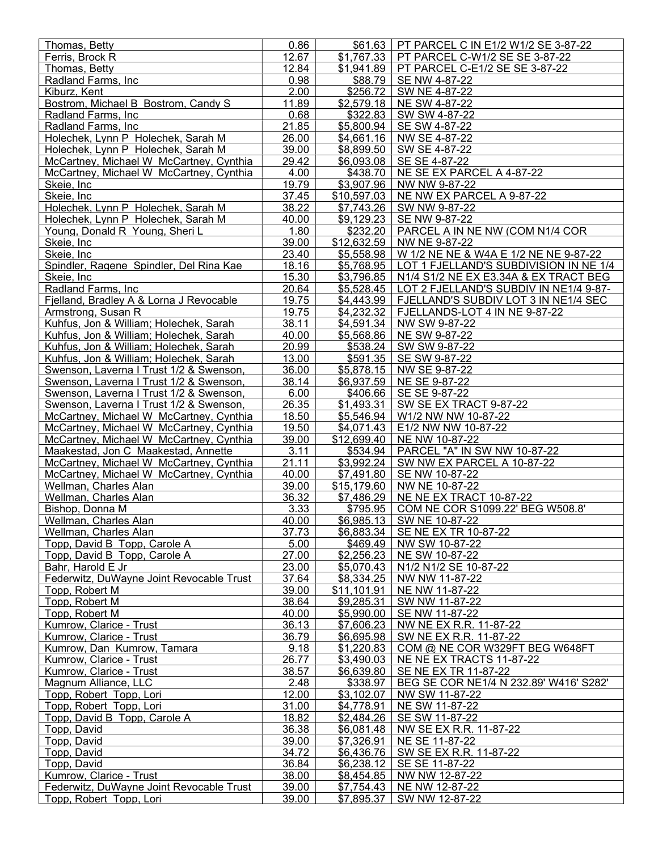| Thomas, Betty                                                                      | 0.86           |                          | \$61.63   PT PARCEL C IN E1/2 W1/2 SE 3-87-22            |
|------------------------------------------------------------------------------------|----------------|--------------------------|----------------------------------------------------------|
| Ferris, Brock R                                                                    | 12.67          | \$1,767.33               | PT PARCEL C-W1/2 SE SE 3-87-22                           |
| Thomas, Betty                                                                      | 12.84          | \$1,941.89               | PT PARCEL C-E1/2 SE SE 3-87-22                           |
| Radland Farms, Inc.                                                                | 0.98           | \$88.79                  | SE NW 4-87-22                                            |
| Kiburz, Kent                                                                       | 2.00           | \$256.72                 | SW NE 4-87-22                                            |
| Bostrom, Michael B Bostrom, Candy S                                                | 11.89          | \$2,579.18               | NE SW 4-87-22                                            |
| Radland Farms, Inc.                                                                | 0.68           | \$322.83                 | SW SW 4-87-22                                            |
| Radland Farms, Inc.                                                                | 21.85          | \$5,800.94               | SE SW 4-87-22                                            |
| Holechek, Lynn P Holechek, Sarah M<br>Holechek, Lynn P Holechek, Sarah M           | 26.00<br>39.00 | \$4,661.16<br>\$8,899.50 | NW SE 4-87-22<br>SW SE 4-87-22                           |
| McCartney, Michael W McCartney, Cynthia                                            | 29.42          | \$6,093.08               | SE SE 4-87-22                                            |
| McCartney, Michael W McCartney, Cynthia                                            | 4.00           | \$438.70                 | NE SE EX PARCEL A 4-87-22                                |
| Skeie, Inc                                                                         | 19.79          | $\overline{$3,907.96}$   | NW NW 9-87-22                                            |
| Skeie, Inc.                                                                        | 37.45          | \$10,597.03              | NE NW EX PARCEL A 9-87-22                                |
| Holechek, Lynn P Holechek, Sarah M                                                 | 38.22          |                          | $$7,743.26$ SW NW 9-87-22                                |
| Holechek, Lynn P Holechek, Sarah M                                                 | 40.00          | \$9,129.23               | SE NW 9-87-22                                            |
| Young, Donald R Young, Sheri L                                                     | 1.80           | \$232.20                 | PARCEL A IN NE NW (COM N1/4 COR                          |
| Skeie, Inc.                                                                        | 39.00          | \$12,632.59              | NW NE 9-87-22                                            |
| Skeie, Inc                                                                         | 23.40          | \$5,558.98               | W 1/2 NE NE & W4A E 1/2 NE NE 9-87-22                    |
| Spindler, Ragene Spindler, Del Rina Kae                                            | 18.16          |                          | \$5,768.95   LOT 1 FJELLAND'S SUBDIVISION IN NE 1/4      |
| Skeie, Inc                                                                         | 15.30          | \$3,796.85               | N1/4 S1/2 NE EX E3.34A & EX TRACT BEG                    |
| Radland Farms, Inc.                                                                | 20.64          | \$5,528.45               | LOT 2 FJELLAND'S SUBDIV IN NE1/4 9-87-                   |
| Fielland, Bradley A & Lorna J Revocable                                            | 19.75          | \$4,443.99               | FJELLAND'S SUBDIV LOT 3 IN NE1/4 SEC                     |
| Armstrong, Susan R                                                                 | 19.75          | \$4,232.32               | FJELLANDS-LOT 4 IN NE 9-87-22                            |
| Kuhfus, Jon & William; Holechek, Sarah                                             | 38.11          |                          | \$4,591.34   NW SW 9-87-22                               |
| Kuhfus, Jon & William; Holechek, Sarah                                             | 40.00          | \$5,568.86               | NE SW 9-87-22                                            |
| Kuhfus, Jon & William; Holechek, Sarah                                             | 20.99          | \$538.24                 | SW SW 9-87-22                                            |
| Kuhfus, Jon & William; Holechek, Sarah                                             | 13.00          | \$591.35                 | SE SW 9-87-22                                            |
| Swenson, Laverna I Trust 1/2 & Swenson,                                            | 36.00          | \$5,878.15               | NW SE 9-87-22                                            |
| Swenson, Laverna I Trust 1/2 & Swenson,                                            | 38.14          | \$6,937.59               | NE SE 9-87-22                                            |
| Swenson, Laverna I Trust 1/2 & Swenson,                                            | 6.00           | \$406.66                 | SE SE 9-87-22                                            |
| Swenson, Laverna I Trust 1/2 & Swenson,                                            | 26.35<br>18.50 | \$1,493.31<br>\$5,546.94 | SW SE EX TRACT 9-87-22<br>W1/2 NW NW 10-87-22            |
| McCartney, Michael W McCartney, Cynthia<br>McCartney, Michael W McCartney, Cynthia | 19.50          | \$4,071.43               | E1/2 NW NW 10-87-22                                      |
| McCartney, Michael W McCartney, Cynthia                                            | 39.00          | \$12,699.40              | NE NW 10-87-22                                           |
| Maakestad, Jon C Maakestad, Annette                                                | 3.11           | \$534.94                 | PARCEL "A" IN SW NW 10-87-22                             |
| McCartney, Michael W McCartney, Cynthia                                            | 21.11          | \$3,992.24               | SW NW EX PARCEL A 10-87-22                               |
| McCartney, Michael W McCartney, Cynthia                                            | 40.00          | \$7,491.80               | SE NW 10-87-22                                           |
| Wellman, Charles Alan                                                              | 39.00          |                          | \$15,179.60   NW NE 10-87-22                             |
| Wellman, Charles Alan                                                              | 36.32          |                          | \$7,486.29 NE NE EX TRACT 10-87-22                       |
| Bishop, Donna M                                                                    | 3.33           | \$795.95                 | COM NE COR S1099.22' BEG W508.8'                         |
| Wellman, Charles Alan                                                              | 40.00          |                          | \$6,985.13 SW NE 10-87-22                                |
| Wellman, Charles Alan                                                              | 37.73          |                          | \$6,883.34   SE NE EX TR 10-87-22                        |
| Topp, David B Topp, Carole A                                                       | 5.00           | \$469.49                 | NW SW 10-87-22                                           |
| Topp, David B Topp, Carole A                                                       | 27.00          | \$2,256.23               | NE SW 10-87-22                                           |
| Bahr, Harold E Jr                                                                  | 23.00          | \$5,070.43               | N1/2 N1/2 SE 10-87-22                                    |
| Federwitz, DuWayne Joint Revocable Trust                                           | 37.64          | \$8,334.25               | NW NW 11-87-22                                           |
| Topp, Robert M                                                                     | 39.00          | \$11,101.91              | NE NW 11-87-22                                           |
| Topp, Robert M                                                                     | 38.64          | \$9,285.31               | SW NW 11-87-22                                           |
| Topp, Robert M                                                                     | 40.00          | \$5,990.00               | SE NW 11-87-22                                           |
| Kumrow, Clarice - Trust                                                            | 36.13          | \$7,606.23               | NW NE EX R.R. 11-87-22                                   |
| Kumrow, Clarice - Trust                                                            | 36.79          | \$6,695.98               | SW NE EX R.R. 11-87-22                                   |
| Kumrow, Dan Kumrow, Tamara                                                         | 9.18           | \$1,220.83               | COM @ NE COR W329FT BEG W648FT                           |
| Kumrow, Clarice - Trust                                                            | 26.77          | \$3,490.03               | NE NE EX TRACTS 11-87-22                                 |
| Kumrow, Clarice - Trust<br>Magnum Alliance, LLC                                    | 38.57<br>2.48  | \$6,639.80               | SE NE EX TR 11-87-22                                     |
| Topp, Robert Topp, Lori                                                            | 12.00          | \$338.97<br>\$3,102.07   | BEG SE COR NE1/4 N 232.89' W416' S282'<br>NW SW 11-87-22 |
| Topp, Robert Topp, Lori                                                            | 31.00          | \$4,778.91               | NE SW 11-87-22                                           |
| Topp, David B Topp, Carole A                                                       | 18.82          | \$2,484.26               | SE SW 11-87-22                                           |
| Topp, David                                                                        | 36.38          | \$6,081.48               | NW SE EX R.R. 11-87-22                                   |
| Topp, David                                                                        | 39.00          | \$7,326.91               | NE SE 11-87-22                                           |
| Topp, David                                                                        | 34.72          | \$6,436.76               | SW SE EX R.R. 11-87-22                                   |
| Topp, David                                                                        | 36.84          | \$6,238.12               | SE SE 11-87-22                                           |
| Kumrow, Clarice - Trust                                                            | 38.00          | \$8,454.85               | NW NW 12-87-22                                           |
| Federwitz, DuWayne Joint Revocable Trust                                           | 39.00          | \$7,754.43               | NE NW 12-87-22                                           |
| Topp, Robert Topp, Lori                                                            | 39.00          | \$7,895.37               | SW NW 12-87-22                                           |